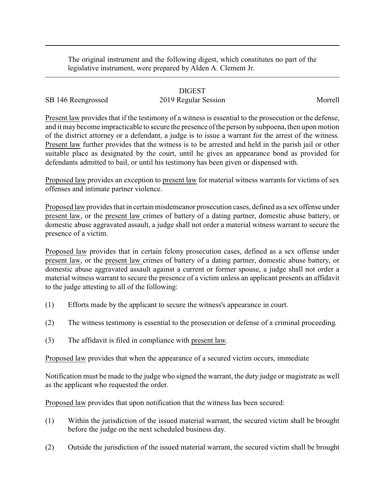The original instrument and the following digest, which constitutes no part of the legislative instrument, were prepared by Alden A. Clement Jr.

## DIGEST

SB 146 Reengrossed 2019 Regular Session Morrell

Present law provides that if the testimony of a witness is essential to the prosecution or the defense, and it maybecome impracticable to secure the presence of the person bysubpoena, then upon motion of the district attorney or a defendant, a judge is to issue a warrant for the arrest of the witness. Present law further provides that the witness is to be arrested and held in the parish jail or other suitable place as designated by the court, until he gives an appearance bond as provided for defendants admitted to bail, or until his testimony has been given or dispensed with.

Proposed law provides an exception to present law for material witness warrants for victims of sex offenses and intimate partner violence.

Proposed law provides that in certain misdemeanor prosecution cases, defined as a sex offense under present law, or the present law crimes of battery of a dating partner, domestic abuse battery, or domestic abuse aggravated assault, a judge shall not order a material witness warrant to secure the presence of a victim.

Proposed law provides that in certain felony prosecution cases, defined as a sex offense under present law, or the present law crimes of battery of a dating partner, domestic abuse battery, or domestic abuse aggravated assault against a current or former spouse, a judge shall not order a material witness warrant to secure the presence of a victim unless an applicant presents an affidavit to the judge attesting to all of the following:

- (1) Efforts made by the applicant to secure the witness's appearance in court.
- (2) The witness testimony is essential to the prosecution or defense of a criminal proceeding.
- (3) The affidavit is filed in compliance with present law.

Proposed law provides that when the appearance of a secured victim occurs, immediate

Notification must be made to the judge who signed the warrant, the duty judge or magistrate as well as the applicant who requested the order.

Proposed law provides that upon notification that the witness has been secured:

- (1) Within the jurisdiction of the issued material warrant, the secured victim shall be brought before the judge on the next scheduled business day.
- (2) Outside the jurisdiction of the issued material warrant, the secured victim shall be brought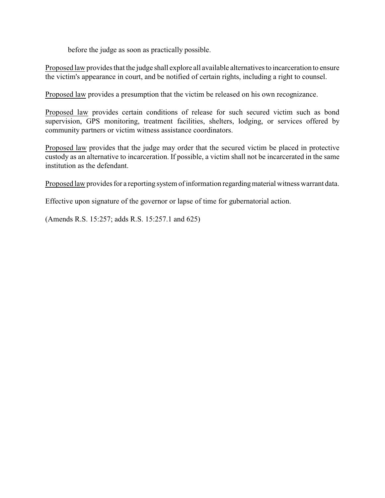before the judge as soon as practically possible.

Proposed law provides that the judge shall explore all available alternatives to incarceration to ensure the victim's appearance in court, and be notified of certain rights, including a right to counsel.

Proposed law provides a presumption that the victim be released on his own recognizance.

Proposed law provides certain conditions of release for such secured victim such as bond supervision, GPS monitoring, treatment facilities, shelters, lodging, or services offered by community partners or victim witness assistance coordinators.

Proposed law provides that the judge may order that the secured victim be placed in protective custody as an alternative to incarceration. If possible, a victim shall not be incarcerated in the same institution as the defendant.

Proposed law provides for a reporting system of information regarding material witness warrant data.

Effective upon signature of the governor or lapse of time for gubernatorial action.

(Amends R.S. 15:257; adds R.S. 15:257.1 and 625)